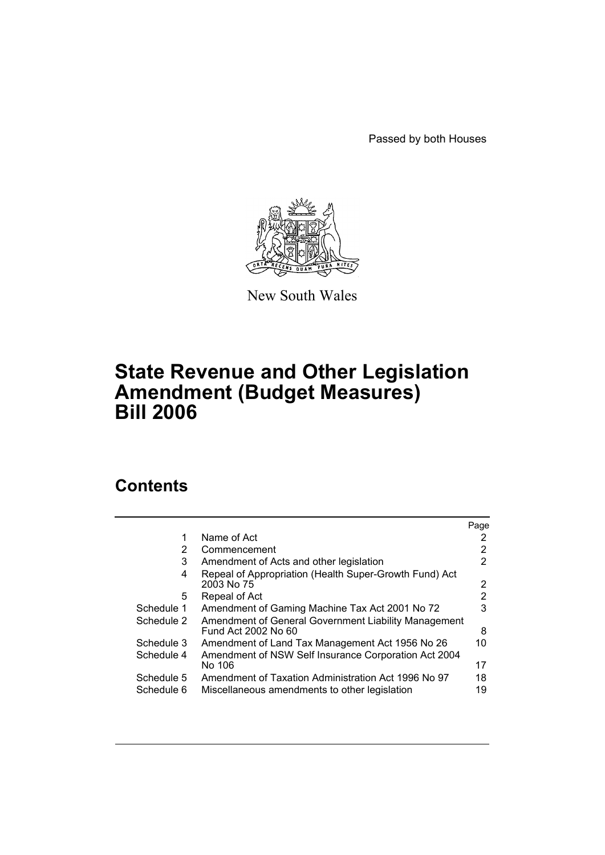Passed by both Houses



New South Wales

# **State Revenue and Other Legislation Amendment (Budget Measures) Bill 2006**

# **Contents**

|            |                                                                             | Page                  |
|------------|-----------------------------------------------------------------------------|-----------------------|
| 1          | Name of Act                                                                 | 2                     |
| 2          | Commencement                                                                | 2                     |
| 3          | Amendment of Acts and other legislation                                     | 2                     |
| 4          | Repeal of Appropriation (Health Super-Growth Fund) Act<br>2003 No 75        | $\mathbf{2}^{\prime}$ |
| 5          | Repeal of Act                                                               | 2                     |
| Schedule 1 | Amendment of Gaming Machine Tax Act 2001 No 72                              | 3                     |
| Schedule 2 | Amendment of General Government Liability Management<br>Fund Act 2002 No 60 | 8                     |
| Schedule 3 | Amendment of Land Tax Management Act 1956 No 26                             | 10                    |
| Schedule 4 | Amendment of NSW Self Insurance Corporation Act 2004<br>No 106              | 17                    |
| Schedule 5 | Amendment of Taxation Administration Act 1996 No 97                         | 18                    |
| Schedule 6 | Miscellaneous amendments to other legislation                               | 19                    |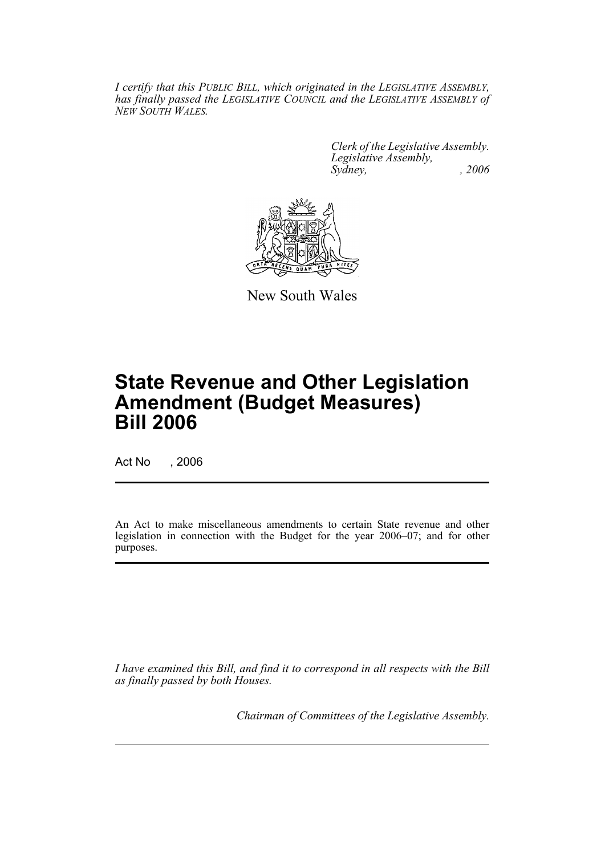*I certify that this PUBLIC BILL, which originated in the LEGISLATIVE ASSEMBLY, has finally passed the LEGISLATIVE COUNCIL and the LEGISLATIVE ASSEMBLY of NEW SOUTH WALES.*

> *Clerk of the Legislative Assembly. Legislative Assembly, Sydney, , 2006*



New South Wales

# **State Revenue and Other Legislation Amendment (Budget Measures) Bill 2006**

Act No , 2006

An Act to make miscellaneous amendments to certain State revenue and other legislation in connection with the Budget for the year 2006–07; and for other purposes.

*I have examined this Bill, and find it to correspond in all respects with the Bill as finally passed by both Houses.*

*Chairman of Committees of the Legislative Assembly.*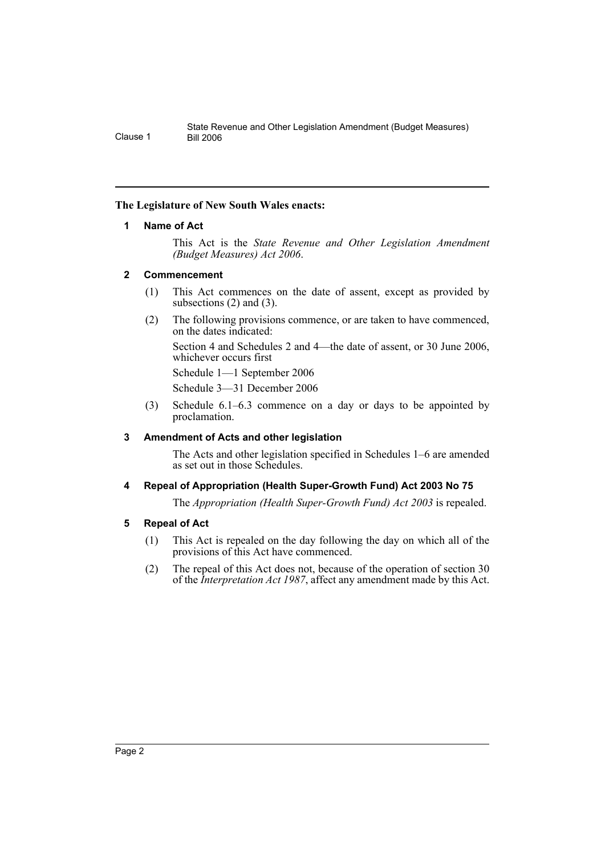## **The Legislature of New South Wales enacts:**

## **1 Name of Act**

This Act is the *State Revenue and Other Legislation Amendment (Budget Measures) Act 2006*.

## **2 Commencement**

- (1) This Act commences on the date of assent, except as provided by subsections (2) and (3).
- (2) The following provisions commence, or are taken to have commenced, on the dates indicated:

Section 4 and Schedules 2 and 4—the date of assent, or 30 June 2006, whichever occurs first

Schedule 1—1 September 2006 Schedule 3—31 December 2006

(3) Schedule 6.1–6.3 commence on a day or days to be appointed by proclamation.

## **3 Amendment of Acts and other legislation**

The Acts and other legislation specified in Schedules 1–6 are amended as set out in those Schedules.

## **4 Repeal of Appropriation (Health Super-Growth Fund) Act 2003 No 75**

The *Appropriation (Health Super-Growth Fund) Act 2003* is repealed.

## **5 Repeal of Act**

- (1) This Act is repealed on the day following the day on which all of the provisions of this Act have commenced.
- (2) The repeal of this Act does not, because of the operation of section 30 of the *Interpretation Act 1987*, affect any amendment made by this Act.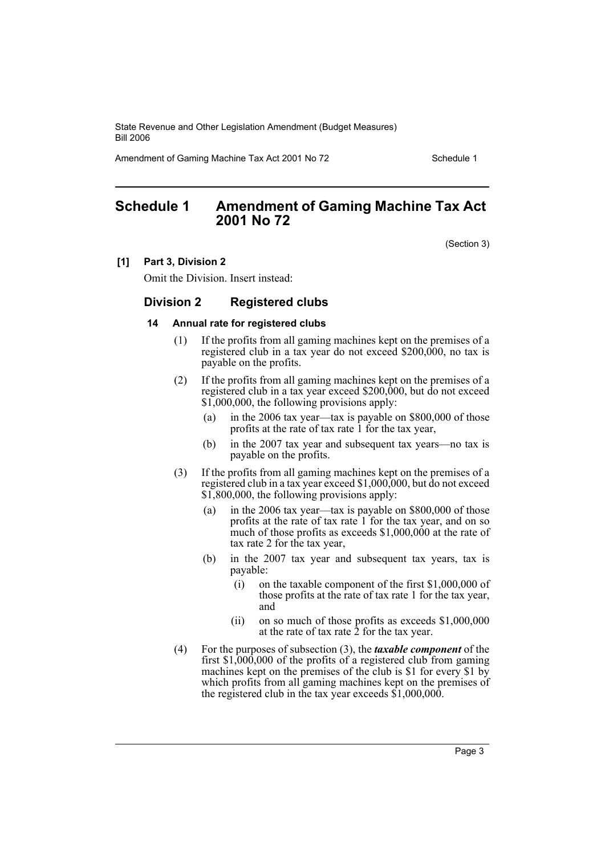Amendment of Gaming Machine Tax Act 2001 No 72 Schedule 1

## **Schedule 1 Amendment of Gaming Machine Tax Act 2001 No 72**

(Section 3)

#### **[1] Part 3, Division 2**

Omit the Division. Insert instead:

#### **Division 2 Registered clubs**

#### **14 Annual rate for registered clubs**

- (1) If the profits from all gaming machines kept on the premises of a registered club in a tax year do not exceed \$200,000, no tax is payable on the profits.
- (2) If the profits from all gaming machines kept on the premises of a registered club in a tax year exceed \$200,000, but do not exceed \$1,000,000, the following provisions apply:
	- (a) in the 2006 tax year—tax is payable on \$800,000 of those profits at the rate of tax rate 1 for the tax year,
	- (b) in the 2007 tax year and subsequent tax years—no tax is payable on the profits.
- (3) If the profits from all gaming machines kept on the premises of a registered club in a tax year exceed \$1,000,000, but do not exceed \$1,800,000, the following provisions apply:
	- (a) in the 2006 tax year—tax is payable on \$800,000 of those profits at the rate of tax rate 1 for the tax year, and on so much of those profits as exceeds \$1,000,000 at the rate of tax rate 2 for the tax year,
	- (b) in the 2007 tax year and subsequent tax years, tax is payable:
		- (i) on the taxable component of the first \$1,000,000 of those profits at the rate of tax rate 1 for the tax year, and
		- (ii) on so much of those profits as exceeds \$1,000,000 at the rate of tax rate  $\hat{2}$  for the tax year.
- (4) For the purposes of subsection (3), the *taxable component* of the first \$1,000,000 of the profits of a registered club from gaming machines kept on the premises of the club is \$1 for every \$1 by which profits from all gaming machines kept on the premises of the registered club in the tax year exceeds  $$1,000,000$ .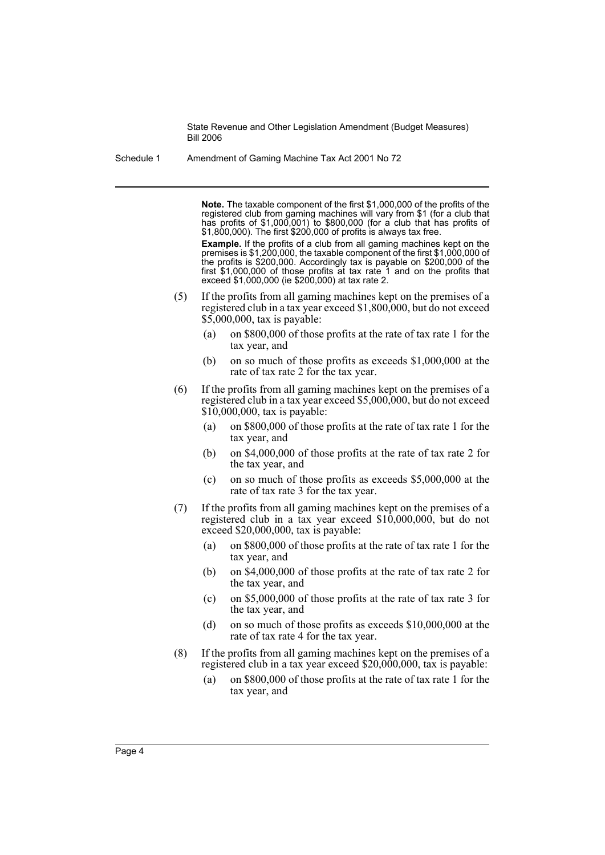Schedule 1 Amendment of Gaming Machine Tax Act 2001 No 72

**Note.** The taxable component of the first \$1,000,000 of the profits of the registered club from gaming machines will vary from \$1 (for a club that has profits of \$1,000,001) to \$800,000 (for a club that has profits of \$1,800,000). The first \$200,000 of profits is always tax free.

**Example.** If the profits of a club from all gaming machines kept on the premises is \$1,200,000, the taxable component of the first \$1,000,000 of the profits is \$200,000. Accordingly tax is payable on \$200,000 of the first \$1,000,000 of those profits at tax rate 1 and on the profits that exceed \$1,000,000 (ie \$200,000) at tax rate 2.

- (5) If the profits from all gaming machines kept on the premises of a registered club in a tax year exceed \$1,800,000, but do not exceed \$5,000,000, tax is payable:
	- (a) on \$800,000 of those profits at the rate of tax rate 1 for the tax year, and
	- (b) on so much of those profits as exceeds \$1,000,000 at the rate of tax rate 2 for the tax year.
- (6) If the profits from all gaming machines kept on the premises of a registered club in a tax year exceed \$5,000,000, but do not exceed \$10,000,000, tax is payable:
	- (a) on \$800,000 of those profits at the rate of tax rate 1 for the tax year, and
	- (b) on \$4,000,000 of those profits at the rate of tax rate 2 for the tax year, and
	- (c) on so much of those profits as exceeds \$5,000,000 at the rate of tax rate 3 for the tax year.
- (7) If the profits from all gaming machines kept on the premises of a registered club in a tax year exceed \$10,000,000, but do not exceed \$20,000,000, tax is payable:
	- (a) on \$800,000 of those profits at the rate of tax rate 1 for the tax year, and
	- (b) on \$4,000,000 of those profits at the rate of tax rate 2 for the tax year, and
	- (c) on \$5,000,000 of those profits at the rate of tax rate 3 for the tax year, and
	- (d) on so much of those profits as exceeds \$10,000,000 at the rate of tax rate 4 for the tax year.
- (8) If the profits from all gaming machines kept on the premises of a registered club in a tax year exceed \$20,000,000, tax is payable:
	- (a) on \$800,000 of those profits at the rate of tax rate 1 for the tax year, and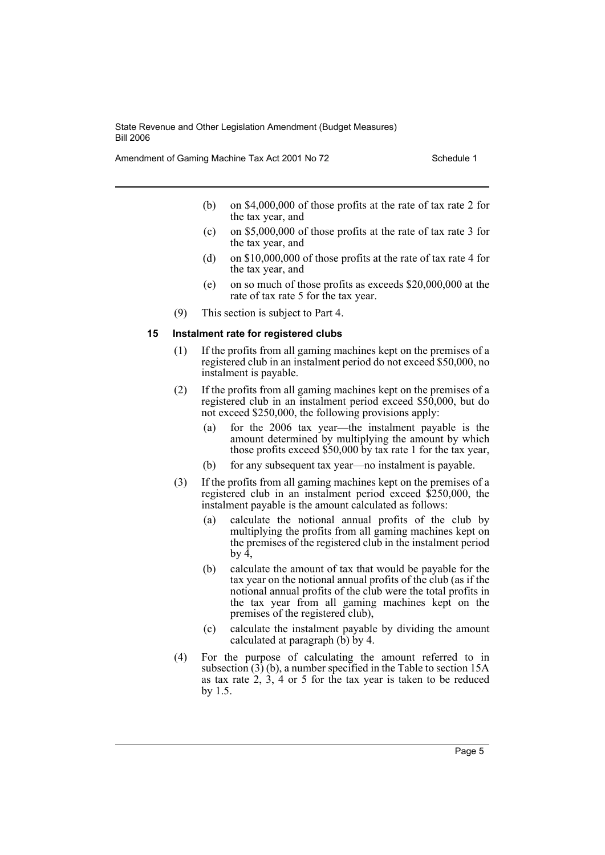Amendment of Gaming Machine Tax Act 2001 No 72 Schedule 1

- (b) on \$4,000,000 of those profits at the rate of tax rate 2 for the tax year, and
- (c) on \$5,000,000 of those profits at the rate of tax rate 3 for the tax year, and
- (d) on \$10,000,000 of those profits at the rate of tax rate 4 for the tax year, and
- (e) on so much of those profits as exceeds \$20,000,000 at the rate of tax rate 5 for the tax year.
- (9) This section is subject to Part 4.

#### **15 Instalment rate for registered clubs**

- (1) If the profits from all gaming machines kept on the premises of a registered club in an instalment period do not exceed \$50,000, no instalment is payable.
- (2) If the profits from all gaming machines kept on the premises of a registered club in an instalment period exceed \$50,000, but do not exceed \$250,000, the following provisions apply:
	- (a) for the 2006 tax year—the instalment payable is the amount determined by multiplying the amount by which those profits exceed \$50,000 by tax rate 1 for the tax year,
	- (b) for any subsequent tax year—no instalment is payable.
- (3) If the profits from all gaming machines kept on the premises of a registered club in an instalment period exceed \$250,000, the instalment payable is the amount calculated as follows:
	- (a) calculate the notional annual profits of the club by multiplying the profits from all gaming machines kept on the premises of the registered club in the instalment period by  $\hat{4}$ .
	- (b) calculate the amount of tax that would be payable for the tax year on the notional annual profits of the club (as if the notional annual profits of the club were the total profits in the tax year from all gaming machines kept on the premises of the registered club),
	- (c) calculate the instalment payable by dividing the amount calculated at paragraph  $(\hat{b})$  by 4.
- (4) For the purpose of calculating the amount referred to in subsection (3) (b), a number specified in the Table to section 15A as tax rate  $2, 3, 4$  or 5 for the tax year is taken to be reduced by 1.5.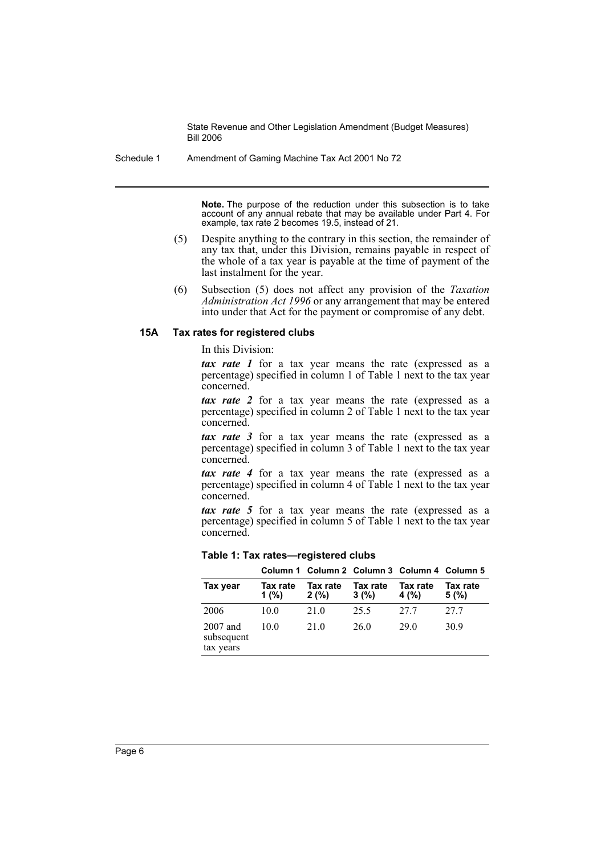Schedule 1 Amendment of Gaming Machine Tax Act 2001 No 72

**Note.** The purpose of the reduction under this subsection is to take account of any annual rebate that may be available under Part 4. For example, tax rate 2 becomes 19.5, instead of 21.

- (5) Despite anything to the contrary in this section, the remainder of any tax that, under this Division, remains payable in respect of the whole of a tax year is payable at the time of payment of the last instalment for the year.
- (6) Subsection (5) does not affect any provision of the *Taxation Administration Act 1996* or any arrangement that may be entered into under that Act for the payment or compromise of any debt.

#### **15A Tax rates for registered clubs**

In this Division:

*tax rate 1* for a tax year means the rate (expressed as a percentage) specified in column 1 of Table 1 next to the tax year concerned.

*tax rate 2* for a tax year means the rate (expressed as a percentage) specified in column 2 of Table 1 next to the tax year concerned.

*tax rate 3* for a tax year means the rate (expressed as a percentage) specified in column 3 of Table 1 next to the tax year concerned.

*tax rate 4* for a tax year means the rate (expressed as a percentage) specified in column 4 of Table 1 next to the tax year concerned.

*tax rate 5* for a tax year means the rate (expressed as a percentage) specified in column 5 of Table 1 next to the tax year concerned.

**Table 1: Tax rates—registered clubs**

|                                     |                      | Column 1 Column 2 Column 3 Column 4 Column 5 |                  |                  |                  |
|-------------------------------------|----------------------|----------------------------------------------|------------------|------------------|------------------|
| Tax year                            | Tax rate<br>1 $(% )$ | Tax rate<br>2(%)                             | Tax rate<br>3(%) | Tax rate<br>4(%) | Tax rate<br>5(%) |
| 2006                                | 10.0                 | 21.0                                         | 25.5             | 27.7             | 27.7             |
| 2007 and<br>subsequent<br>tax years | 10 0                 | 21.0                                         | 26.0             | 29 O             | 30.9             |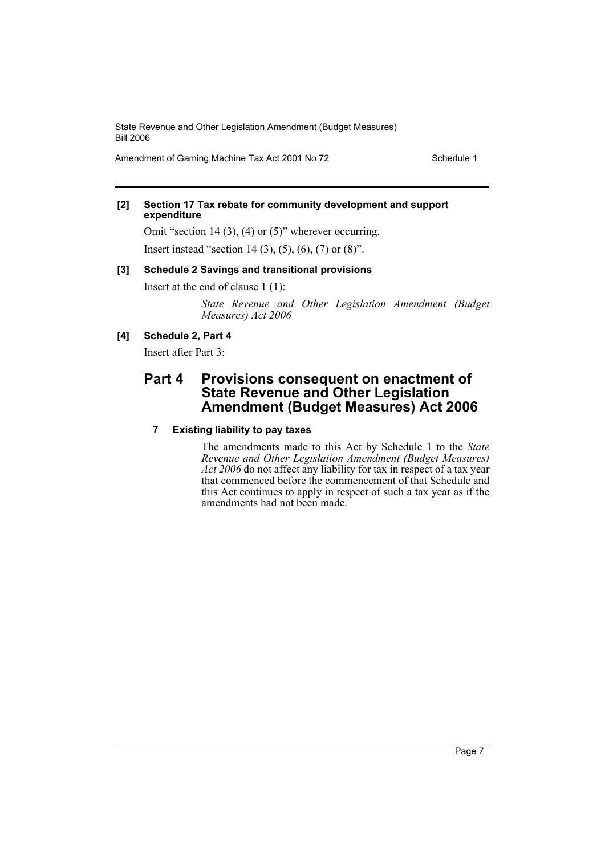Amendment of Gaming Machine Tax Act 2001 No 72 Schedule 1

#### **[2] Section 17 Tax rebate for community development and support expenditure**

Omit "section 14 (3), (4) or (5)" wherever occurring.

Insert instead "section 14 (3), (5), (6), (7) or (8)".

#### **[3] Schedule 2 Savings and transitional provisions**

Insert at the end of clause 1 (1):

*State Revenue and Other Legislation Amendment (Budget Measures) Act 2006*

## **[4] Schedule 2, Part 4**

Insert after Part 3:

## **Part 4 Provisions consequent on enactment of State Revenue and Other Legislation Amendment (Budget Measures) Act 2006**

## **7 Existing liability to pay taxes**

The amendments made to this Act by Schedule 1 to the *State Revenue and Other Legislation Amendment (Budget Measures) Act 2006* do not affect any liability for tax in respect of a tax year that commenced before the commencement of that Schedule and this Act continues to apply in respect of such a tax year as if the amendments had not been made.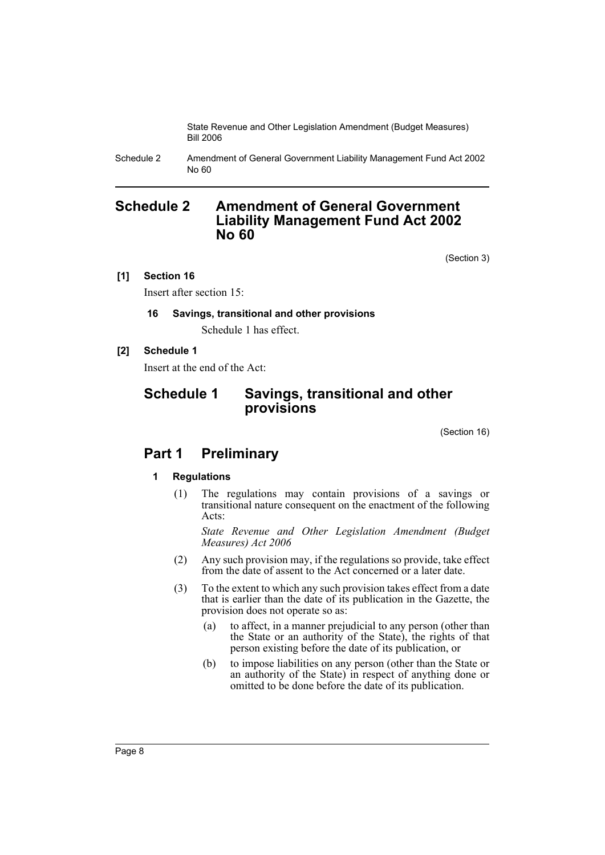Schedule 2 Amendment of General Government Liability Management Fund Act 2002 No 60

## **Schedule 2 Amendment of General Government Liability Management Fund Act 2002 No 60**

(Section 3)

## **[1] Section 16**

Insert after section 15:

## **16 Savings, transitional and other provisions**

Schedule 1 has effect.

## **[2] Schedule 1**

Insert at the end of the Act:

## **Schedule 1 Savings, transitional and other provisions**

(Section 16)

## **Part 1 Preliminary**

## **1 Regulations**

(1) The regulations may contain provisions of a savings or transitional nature consequent on the enactment of the following Acts:

*State Revenue and Other Legislation Amendment (Budget Measures) Act 2006*

- (2) Any such provision may, if the regulations so provide, take effect from the date of assent to the Act concerned or a later date.
- (3) To the extent to which any such provision takes effect from a date that is earlier than the date of its publication in the Gazette, the provision does not operate so as:
	- (a) to affect, in a manner prejudicial to any person (other than the State or an authority of the State), the rights of that person existing before the date of its publication, or
	- (b) to impose liabilities on any person (other than the State or an authority of the State) in respect of anything done or omitted to be done before the date of its publication.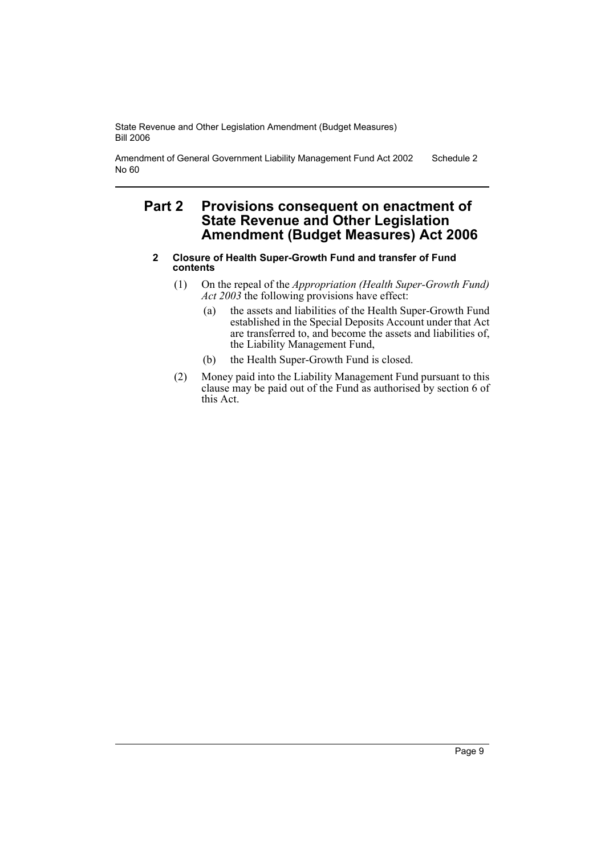Amendment of General Government Liability Management Fund Act 2002 No 60 Schedule 2

## **Part 2 Provisions consequent on enactment of State Revenue and Other Legislation Amendment (Budget Measures) Act 2006**

- **2 Closure of Health Super-Growth Fund and transfer of Fund contents**
	- (1) On the repeal of the *Appropriation (Health Super-Growth Fund) Act 2003* the following provisions have effect:
		- (a) the assets and liabilities of the Health Super-Growth Fund established in the Special Deposits Account under that Act are transferred to, and become the assets and liabilities of, the Liability Management Fund,
		- (b) the Health Super-Growth Fund is closed.
	- (2) Money paid into the Liability Management Fund pursuant to this clause may be paid out of the Fund as authorised by section 6 of this Act.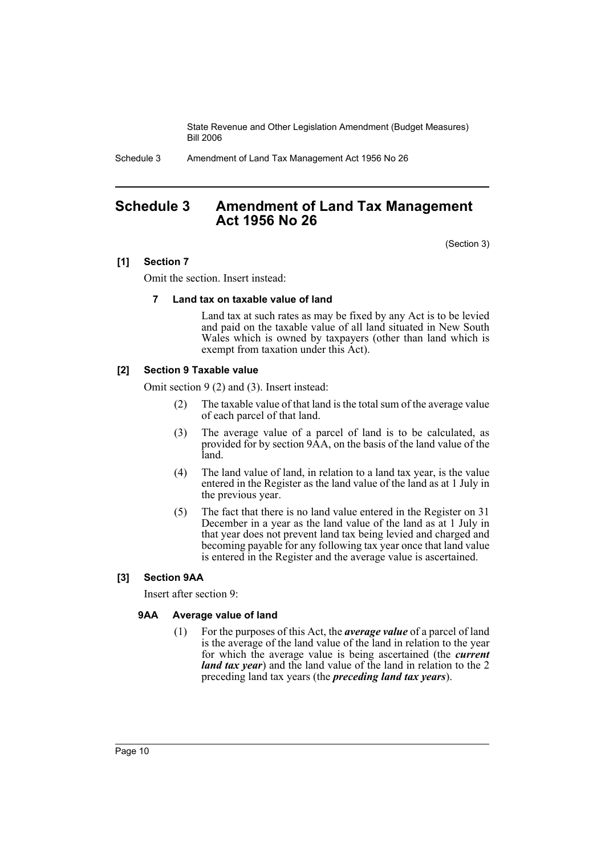Schedule 3 Amendment of Land Tax Management Act 1956 No 26

## **Schedule 3 Amendment of Land Tax Management Act 1956 No 26**

(Section 3)

## **[1] Section 7**

Omit the section. Insert instead:

#### **7 Land tax on taxable value of land**

Land tax at such rates as may be fixed by any Act is to be levied and paid on the taxable value of all land situated in New South Wales which is owned by taxpayers (other than land which is exempt from taxation under this Act).

## **[2] Section 9 Taxable value**

Omit section 9 (2) and (3). Insert instead:

- (2) The taxable value of that land is the total sum of the average value of each parcel of that land.
- (3) The average value of a parcel of land is to be calculated, as provided for by section 9AA, on the basis of the land value of the land.
- (4) The land value of land, in relation to a land tax year, is the value entered in the Register as the land value of the land as at 1 July in the previous year.
- (5) The fact that there is no land value entered in the Register on 31 December in a year as the land value of the land as at 1 July in that year does not prevent land tax being levied and charged and becoming payable for any following tax year once that land value is entered in the Register and the average value is ascertained.

## **[3] Section 9AA**

Insert after section 9:

## **9AA Average value of land**

(1) For the purposes of this Act, the *average value* of a parcel of land is the average of the land value of the land in relation to the year for which the average value is being ascertained (the *current land tax year*) and the land value of the land in relation to the 2 preceding land tax years (the *preceding land tax years*).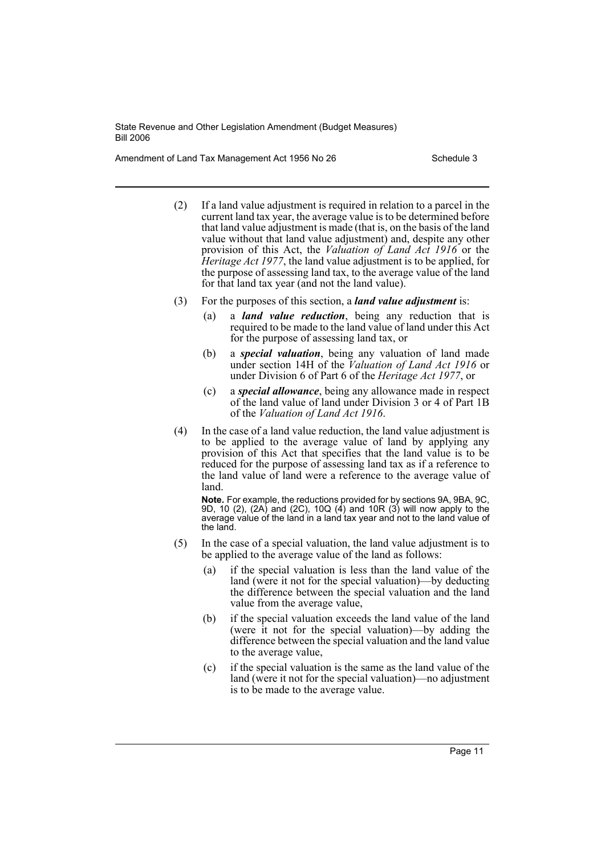Amendment of Land Tax Management Act 1956 No 26 Schedule 3

- (2) If a land value adjustment is required in relation to a parcel in the current land tax year, the average value is to be determined before that land value adjustment is made (that is, on the basis of the land value without that land value adjustment) and, despite any other provision of this Act, the *Valuation of Land Act 1916* or the *Heritage Act 1977*, the land value adjustment is to be applied, for the purpose of assessing land tax, to the average value of the land for that land tax year (and not the land value).
- (3) For the purposes of this section, a *land value adjustment* is:
	- (a) a *land value reduction*, being any reduction that is required to be made to the land value of land under this Act for the purpose of assessing land tax, or
	- (b) a *special valuation*, being any valuation of land made under section 14H of the *Valuation of Land Act 1916* or under Division 6 of Part 6 of the *Heritage Act 1977*, or
	- (c) a *special allowance*, being any allowance made in respect of the land value of land under Division 3 or 4 of Part 1B of the *Valuation of Land Act 1916*.
- (4) In the case of a land value reduction, the land value adjustment is to be applied to the average value of land by applying any provision of this Act that specifies that the land value is to be reduced for the purpose of assessing land tax as if a reference to the land value of land were a reference to the average value of land.

**Note.** For example, the reductions provided for by sections 9A, 9BA, 9C, 9D, 10 (2), (2A) and (2C), 10Q (4) and 10R (3) will now apply to the average value of the land in a land tax year and not to the land value of the land.

- (5) In the case of a special valuation, the land value adjustment is to be applied to the average value of the land as follows:
	- (a) if the special valuation is less than the land value of the land (were it not for the special valuation)—by deducting the difference between the special valuation and the land value from the average value,
	- (b) if the special valuation exceeds the land value of the land (were it not for the special valuation)—by adding the difference between the special valuation and the land value to the average value,
	- (c) if the special valuation is the same as the land value of the land (were it not for the special valuation)—no adjustment is to be made to the average value.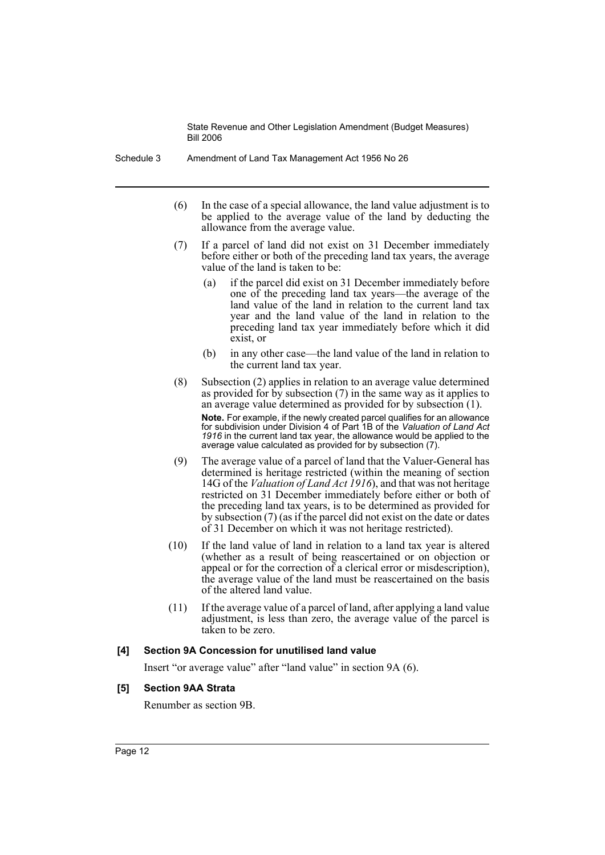Schedule 3 Amendment of Land Tax Management Act 1956 No 26

- (6) In the case of a special allowance, the land value adjustment is to be applied to the average value of the land by deducting the allowance from the average value.
- (7) If a parcel of land did not exist on 31 December immediately before either or both of the preceding land tax years, the average value of the land is taken to be:
	- (a) if the parcel did exist on 31 December immediately before one of the preceding land tax years—the average of the land value of the land in relation to the current land tax year and the land value of the land in relation to the preceding land tax year immediately before which it did exist, or
	- (b) in any other case—the land value of the land in relation to the current land tax year.
- (8) Subsection (2) applies in relation to an average value determined as provided for by subsection  $(7)$  in the same way as it applies to an average value determined as provided for by subsection (1).

**Note.** For example, if the newly created parcel qualifies for an allowance for subdivision under Division 4 of Part 1B of the *Valuation of Land Act 1916* in the current land tax year, the allowance would be applied to the average value calculated as provided for by subsection (7).

- (9) The average value of a parcel of land that the Valuer-General has determined is heritage restricted (within the meaning of section 14G of the *Valuation of Land Act 1916*), and that was not heritage restricted on 31 December immediately before either or both of the preceding land tax years, is to be determined as provided for by subsection (7) (as if the parcel did not exist on the date or dates of 31 December on which it was not heritage restricted).
- (10) If the land value of land in relation to a land tax year is altered (whether as a result of being reascertained or on objection or appeal or for the correction of a clerical error or misdescription), the average value of the land must be reascertained on the basis of the altered land value.
- (11) If the average value of a parcel of land, after applying a land value adjustment, is less than zero, the average value of the parcel is taken to be zero.

## **[4] Section 9A Concession for unutilised land value**

Insert "or average value" after "land value" in section 9A (6).

## **[5] Section 9AA Strata**

Renumber as section 9B.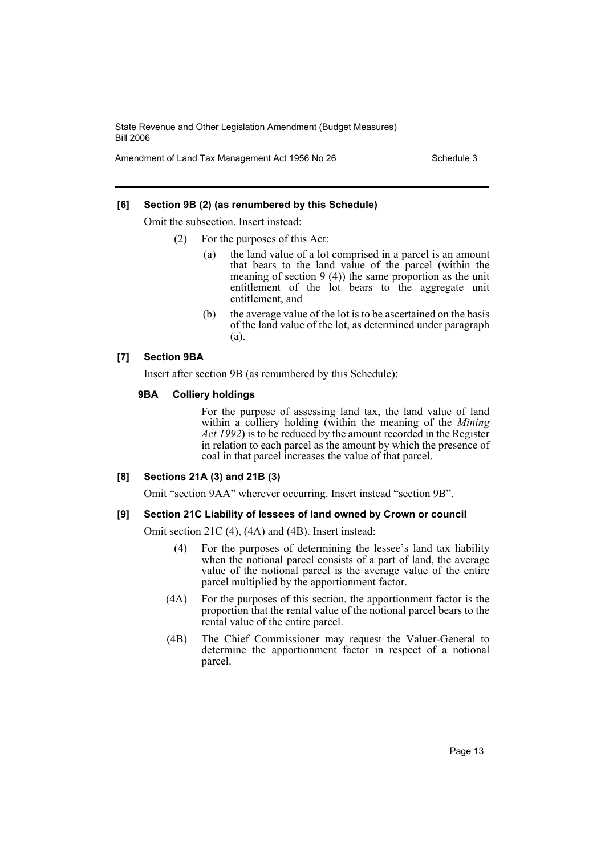Amendment of Land Tax Management Act 1956 No 26 Schedule 3

#### **[6] Section 9B (2) (as renumbered by this Schedule)**

Omit the subsection. Insert instead:

- (2) For the purposes of this Act:
	- (a) the land value of a lot comprised in a parcel is an amount that bears to the land value of the parcel (within the meaning of section 9 (4)) the same proportion as the unit entitlement of the lot bears to the aggregate unit entitlement, and
	- (b) the average value of the lot is to be ascertained on the basis of the land value of the lot, as determined under paragraph (a).

## **[7] Section 9BA**

Insert after section 9B (as renumbered by this Schedule):

#### **9BA Colliery holdings**

For the purpose of assessing land tax, the land value of land within a colliery holding (within the meaning of the *Mining Act 1992*) is to be reduced by the amount recorded in the Register in relation to each parcel as the amount by which the presence of coal in that parcel increases the value of that parcel.

## **[8] Sections 21A (3) and 21B (3)**

Omit "section 9AA" wherever occurring. Insert instead "section 9B".

#### **[9] Section 21C Liability of lessees of land owned by Crown or council**

Omit section 21C (4), (4A) and (4B). Insert instead:

- (4) For the purposes of determining the lessee's land tax liability when the notional parcel consists of a part of land, the average value of the notional parcel is the average value of the entire parcel multiplied by the apportionment factor.
- (4A) For the purposes of this section, the apportionment factor is the proportion that the rental value of the notional parcel bears to the rental value of the entire parcel.
- (4B) The Chief Commissioner may request the Valuer-General to determine the apportionment factor in respect of a notional parcel.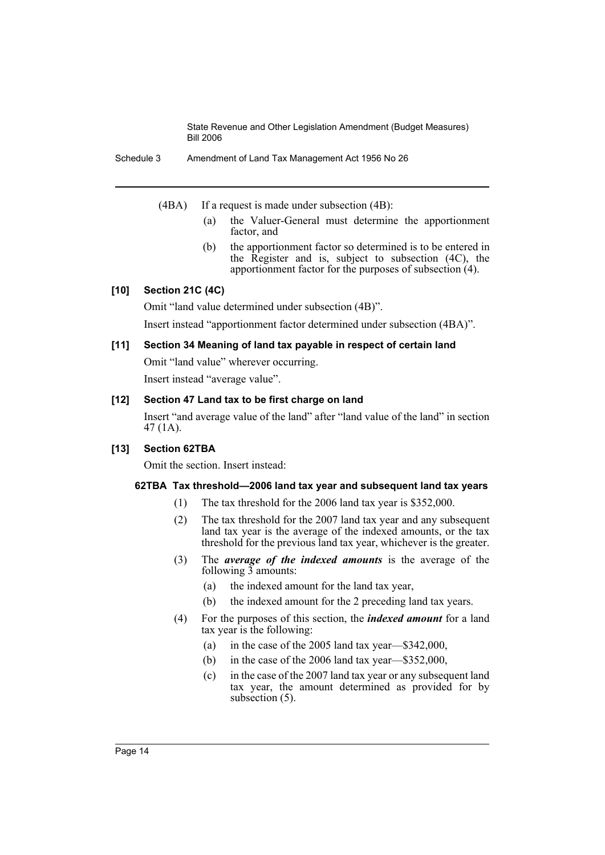Schedule 3 Amendment of Land Tax Management Act 1956 No 26

(4BA) If a request is made under subsection (4B):

- (a) the Valuer-General must determine the apportionment factor, and
- (b) the apportionment factor so determined is to be entered in the Register and is, subject to subsection (4C), the apportionment factor for the purposes of subsection (4).

## **[10] Section 21C (4C)**

Omit "land value determined under subsection (4B)".

Insert instead "apportionment factor determined under subsection (4BA)".

## **[11] Section 34 Meaning of land tax payable in respect of certain land**

Omit "land value" wherever occurring.

Insert instead "average value".

## **[12] Section 47 Land tax to be first charge on land**

Insert "and average value of the land" after "land value of the land" in section 47 (1A).

## **[13] Section 62TBA**

Omit the section. Insert instead:

## **62TBA Tax threshold—2006 land tax year and subsequent land tax years**

- (1) The tax threshold for the 2006 land tax year is \$352,000.
- (2) The tax threshold for the 2007 land tax year and any subsequent land tax year is the average of the indexed amounts, or the tax threshold for the previous land tax year, whichever is the greater.
- (3) The *average of the indexed amounts* is the average of the following  $\overline{3}$  amounts:
	- (a) the indexed amount for the land tax year,
	- (b) the indexed amount for the 2 preceding land tax years.
- (4) For the purposes of this section, the *indexed amount* for a land tax year is the following:
	- (a) in the case of the 2005 land tax year—\$342,000,
	- (b) in the case of the 2006 land tax year—\$352,000,
	- (c) in the case of the 2007 land tax year or any subsequent land tax year, the amount determined as provided for by subsection  $(5)$ .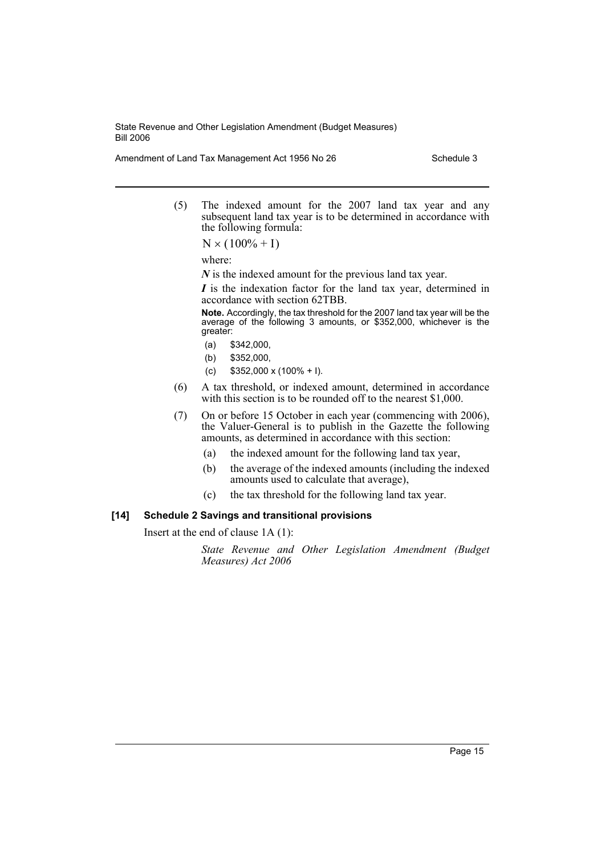Amendment of Land Tax Management Act 1956 No 26 Schedule 3

(5) The indexed amount for the 2007 land tax year and any subsequent land tax year is to be determined in accordance with the following formula:

 $N \times (100\% + I)$ 

where:

*N* is the indexed amount for the previous land tax year.

*I* is the indexation factor for the land tax year, determined in accordance with section 62TBB.

**Note.** Accordingly, the tax threshold for the 2007 land tax year will be the average of the following 3 amounts, or \$352,000, whichever is the greater:

- (a) \$342,000,
- (b) \$352,000,
- (c)  $$352,000 \times (100\% + I).$
- (6) A tax threshold, or indexed amount, determined in accordance with this section is to be rounded off to the nearest \$1,000.
- (7) On or before 15 October in each year (commencing with 2006), the Valuer-General is to publish in the Gazette the following amounts, as determined in accordance with this section:
	- (a) the indexed amount for the following land tax year,
	- (b) the average of the indexed amounts (including the indexed amounts used to calculate that average),
	- (c) the tax threshold for the following land tax year.

## **[14] Schedule 2 Savings and transitional provisions**

Insert at the end of clause 1A (1):

*State Revenue and Other Legislation Amendment (Budget Measures) Act 2006*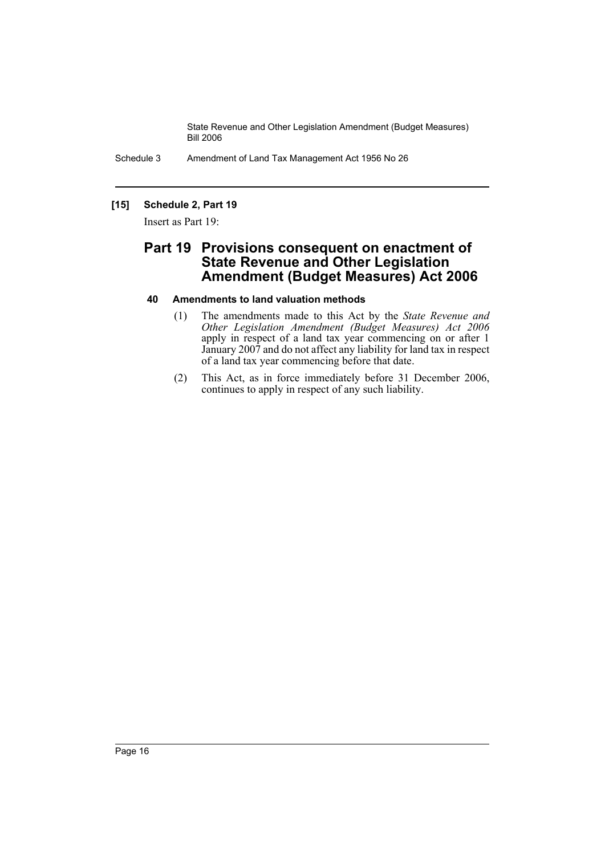Schedule 3 Amendment of Land Tax Management Act 1956 No 26

## **[15] Schedule 2, Part 19**

Insert as Part 19:

## **Part 19 Provisions consequent on enactment of State Revenue and Other Legislation Amendment (Budget Measures) Act 2006**

## **40 Amendments to land valuation methods**

- (1) The amendments made to this Act by the *State Revenue and Other Legislation Amendment (Budget Measures) Act 2006* apply in respect of a land tax year commencing on or after 1 January 2007 and do not affect any liability for land tax in respect of a land tax year commencing before that date.
- (2) This Act, as in force immediately before 31 December 2006, continues to apply in respect of any such liability.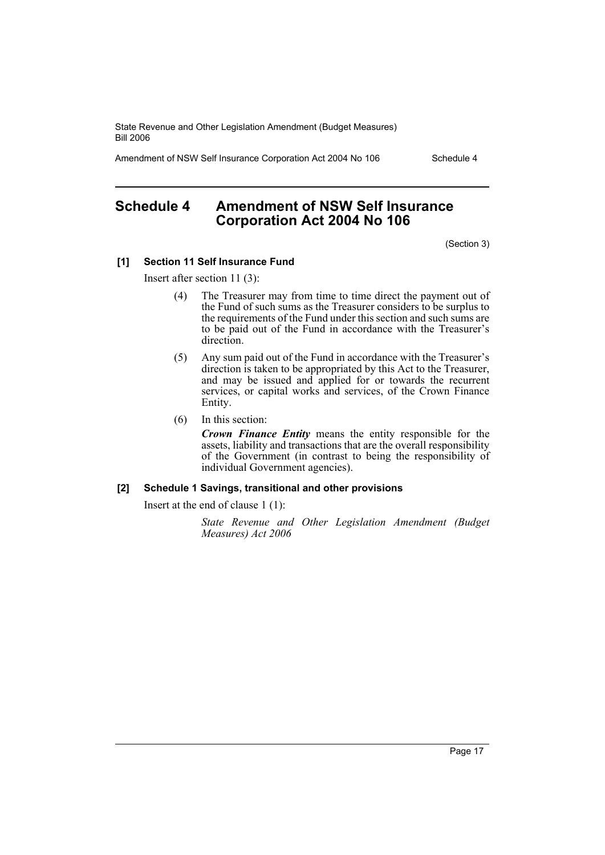Amendment of NSW Self Insurance Corporation Act 2004 No 106 Schedule 4

## **Schedule 4 Amendment of NSW Self Insurance Corporation Act 2004 No 106**

(Section 3)

#### **[1] Section 11 Self Insurance Fund**

Insert after section 11 (3):

- (4) The Treasurer may from time to time direct the payment out of the Fund of such sums as the Treasurer considers to be surplus to the requirements of the Fund under this section and such sums are to be paid out of the Fund in accordance with the Treasurer's direction.
- (5) Any sum paid out of the Fund in accordance with the Treasurer's direction is taken to be appropriated by this Act to the Treasurer, and may be issued and applied for or towards the recurrent services, or capital works and services, of the Crown Finance Entity.
- (6) In this section:

*Crown Finance Entity* means the entity responsible for the assets, liability and transactions that are the overall responsibility of the Government (in contrast to being the responsibility of individual Government agencies).

#### **[2] Schedule 1 Savings, transitional and other provisions**

Insert at the end of clause 1 (1):

*State Revenue and Other Legislation Amendment (Budget Measures) Act 2006*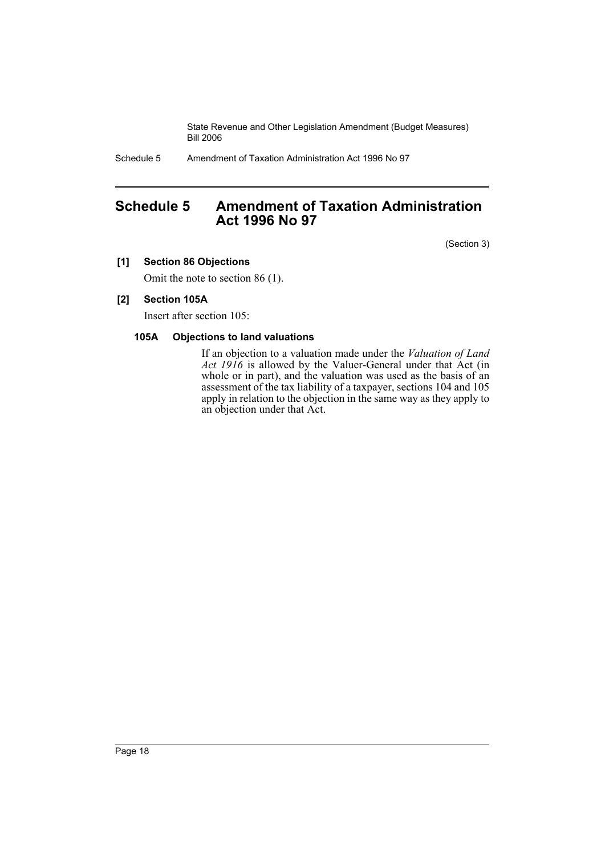Schedule 5 Amendment of Taxation Administration Act 1996 No 97

## **Schedule 5 Amendment of Taxation Administration Act 1996 No 97**

(Section 3)

## **[1] Section 86 Objections**

Omit the note to section 86 (1).

## **[2] Section 105A**

Insert after section 105:

## **105A Objections to land valuations**

If an objection to a valuation made under the *Valuation of Land Act 1916* is allowed by the Valuer-General under that Act (in whole or in part), and the valuation was used as the basis of an assessment of the tax liability of a taxpayer, sections 104 and 105 apply in relation to the objection in the same way as they apply to an objection under that Act.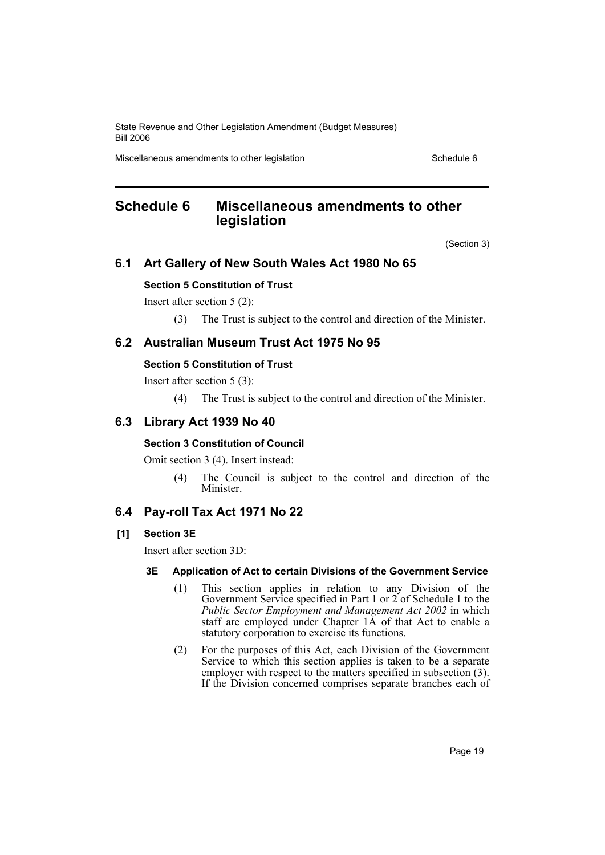Miscellaneous amendments to other legislation Schedule 6 Schedule 6

## **Schedule 6 Miscellaneous amendments to other legislation**

(Section 3)

## **6.1 Art Gallery of New South Wales Act 1980 No 65**

## **Section 5 Constitution of Trust**

Insert after section 5 (2):

(3) The Trust is subject to the control and direction of the Minister.

## **6.2 Australian Museum Trust Act 1975 No 95**

## **Section 5 Constitution of Trust**

Insert after section 5 (3):

(4) The Trust is subject to the control and direction of the Minister.

## **6.3 Library Act 1939 No 40**

## **Section 3 Constitution of Council**

Omit section 3 (4). Insert instead:

(4) The Council is subject to the control and direction of the Minister.

## **6.4 Pay-roll Tax Act 1971 No 22**

## **[1] Section 3E**

Insert after section 3D:

## **3E Application of Act to certain Divisions of the Government Service**

- (1) This section applies in relation to any Division of the Government Service specified in Part 1 or 2 of Schedule 1 to the *Public Sector Employment and Management Act 2002* in which staff are employed under Chapter 1A of that Act to enable a statutory corporation to exercise its functions.
- (2) For the purposes of this Act, each Division of the Government Service to which this section applies is taken to be a separate employer with respect to the matters specified in subsection (3). If the Division concerned comprises separate branches each of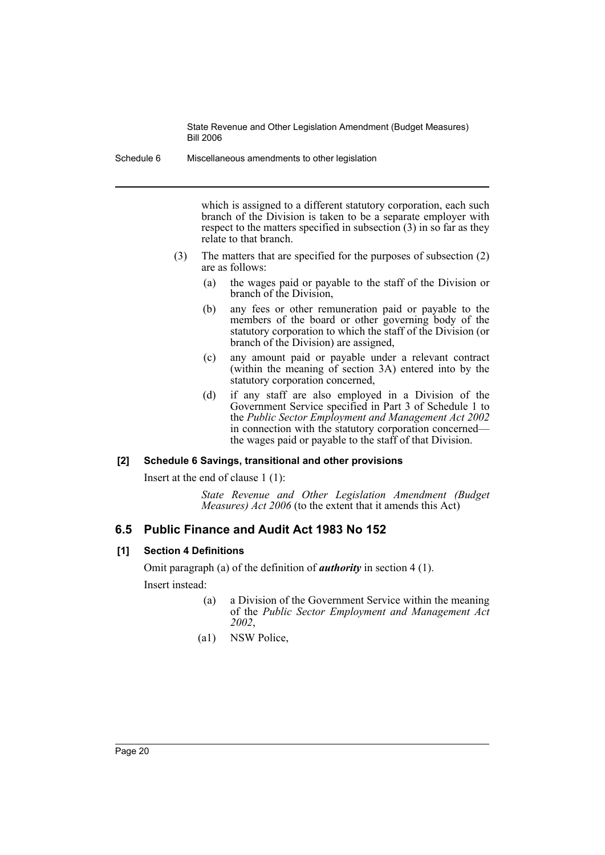Schedule 6 Miscellaneous amendments to other legislation

which is assigned to a different statutory corporation, each such branch of the Division is taken to be a separate employer with respect to the matters specified in subsection (3) in so far as they relate to that branch.

- (3) The matters that are specified for the purposes of subsection (2) are as follows:
	- (a) the wages paid or payable to the staff of the Division or branch of the Division,
	- (b) any fees or other remuneration paid or payable to the members of the board or other governing body of the statutory corporation to which the staff of the Division (or branch of the Division) are assigned,
	- (c) any amount paid or payable under a relevant contract (within the meaning of section 3A) entered into by the statutory corporation concerned,
	- (d) if any staff are also employed in a Division of the Government Service specified in Part 3 of Schedule 1 to the *Public Sector Employment and Management Act 2002* in connection with the statutory corporation concerned the wages paid or payable to the staff of that Division.

## **[2] Schedule 6 Savings, transitional and other provisions**

Insert at the end of clause 1 (1):

*State Revenue and Other Legislation Amendment (Budget Measures) Act 2006* (to the extent that it amends this Act)

## **6.5 Public Finance and Audit Act 1983 No 152**

## **[1] Section 4 Definitions**

Omit paragraph (a) of the definition of *authority* in section 4 (1). Insert instead:

- (a) a Division of the Government Service within the meaning of the *Public Sector Employment and Management Act 2002*,
- (a1) NSW Police,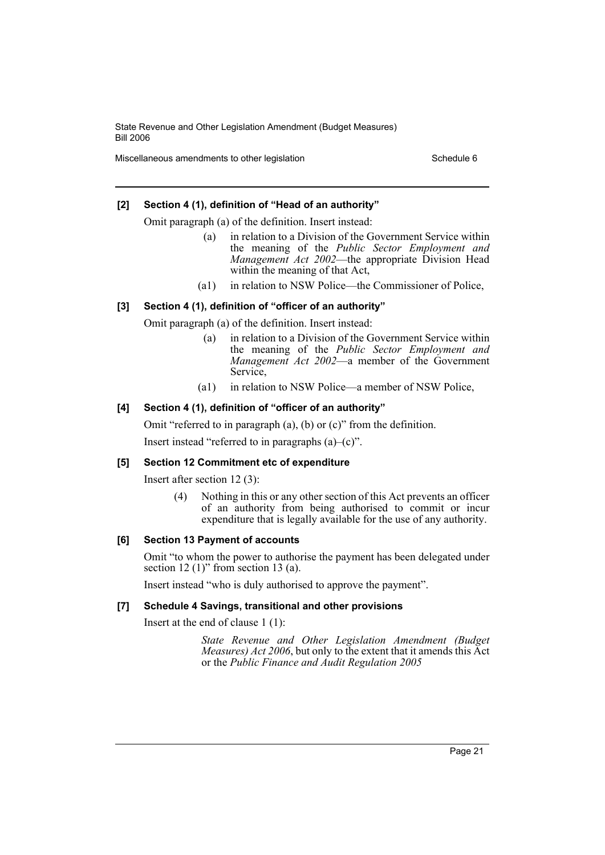Miscellaneous amendments to other legislation Schedule 6 Schedule 6

## **[2] Section 4 (1), definition of "Head of an authority"**

Omit paragraph (a) of the definition. Insert instead:

- (a) in relation to a Division of the Government Service within the meaning of the *Public Sector Employment and Management Act 2002*—the appropriate Division Head within the meaning of that Act,
- (a1) in relation to NSW Police—the Commissioner of Police,

## **[3] Section 4 (1), definition of "officer of an authority"**

Omit paragraph (a) of the definition. Insert instead:

- (a) in relation to a Division of the Government Service within the meaning of the *Public Sector Employment and Management Act 2002*—a member of the Government Service,
- (a1) in relation to NSW Police—a member of NSW Police,

## **[4] Section 4 (1), definition of "officer of an authority"**

Omit "referred to in paragraph (a), (b) or (c)" from the definition.

Insert instead "referred to in paragraphs  $(a)$ – $(c)$ ".

## **[5] Section 12 Commitment etc of expenditure**

Insert after section 12 (3):

(4) Nothing in this or any other section of this Act prevents an officer of an authority from being authorised to commit or incur expenditure that is legally available for the use of any authority.

## **[6] Section 13 Payment of accounts**

Omit "to whom the power to authorise the payment has been delegated under section 12  $(1)$ " from section 13  $(a)$ .

Insert instead "who is duly authorised to approve the payment".

## **[7] Schedule 4 Savings, transitional and other provisions**

Insert at the end of clause 1 (1):

*State Revenue and Other Legislation Amendment (Budget Measures) Act 2006*, but only to the extent that it amends this Act or the *Public Finance and Audit Regulation 2005*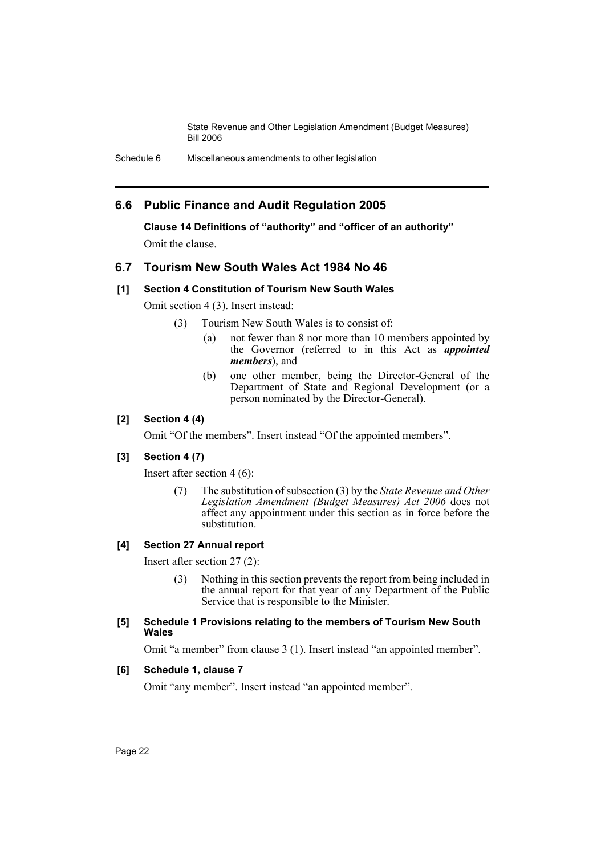Schedule 6 Miscellaneous amendments to other legislation

## **6.6 Public Finance and Audit Regulation 2005**

**Clause 14 Definitions of "authority" and "officer of an authority"** Omit the clause.

## **6.7 Tourism New South Wales Act 1984 No 46**

## **[1] Section 4 Constitution of Tourism New South Wales**

Omit section 4 (3). Insert instead:

- (3) Tourism New South Wales is to consist of:
	- (a) not fewer than 8 nor more than 10 members appointed by the Governor (referred to in this Act as *appointed members*), and
	- (b) one other member, being the Director-General of the Department of State and Regional Development (or a person nominated by the Director-General).

## **[2] Section 4 (4)**

Omit "Of the members". Insert instead "Of the appointed members".

## **[3] Section 4 (7)**

Insert after section 4 (6):

(7) The substitution of subsection (3) by the *State Revenue and Other Legislation Amendment (Budget Measures) Act 2006* does not affect any appointment under this section as in force before the substitution.

## **[4] Section 27 Annual report**

Insert after section 27 (2):

(3) Nothing in this section prevents the report from being included in the annual report for that year of any Department of the Public Service that is responsible to the Minister.

#### **[5] Schedule 1 Provisions relating to the members of Tourism New South Wales**

Omit "a member" from clause 3 (1). Insert instead "an appointed member".

#### **[6] Schedule 1, clause 7**

Omit "any member". Insert instead "an appointed member".